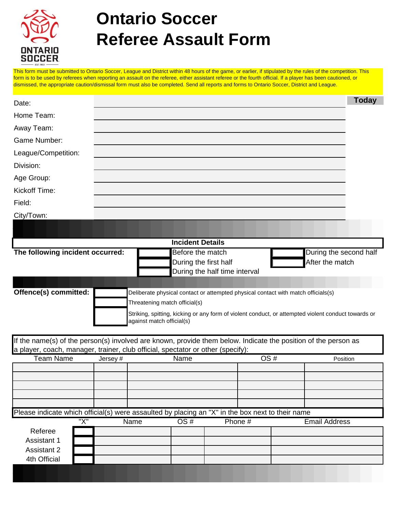

## **Ontario Soccer Referee Assault Form**

This form must be submitted to Ontario Soccer, League and District within 48 hours of the game, or earlier, if stipulated by the rules of the competition. This form is to be used by referees when reporting an assault on the referee, either assistant referee or the fourth official. If a player has been cautioned, or dismissed, the appropriate caution/dismissal form must also be completed. Send all reports and forms to Ontario Soccer, District and League.

| Date:                                                                                                                                                                                             |                                                        |                                                                                                     |      |  |                        |                 |                      | <b>Today</b> |
|---------------------------------------------------------------------------------------------------------------------------------------------------------------------------------------------------|--------------------------------------------------------|-----------------------------------------------------------------------------------------------------|------|--|------------------------|-----------------|----------------------|--------------|
| Home Team:                                                                                                                                                                                        |                                                        |                                                                                                     |      |  |                        |                 |                      |              |
| Away Team:                                                                                                                                                                                        |                                                        |                                                                                                     |      |  |                        |                 |                      |              |
| Game Number:                                                                                                                                                                                      |                                                        |                                                                                                     |      |  |                        |                 |                      |              |
| League/Competition:                                                                                                                                                                               |                                                        |                                                                                                     |      |  |                        |                 |                      |              |
| Division:                                                                                                                                                                                         |                                                        |                                                                                                     |      |  |                        |                 |                      |              |
| Age Group:                                                                                                                                                                                        |                                                        |                                                                                                     |      |  |                        |                 |                      |              |
| Kickoff Time:                                                                                                                                                                                     |                                                        |                                                                                                     |      |  |                        |                 |                      |              |
| Field:                                                                                                                                                                                            |                                                        |                                                                                                     |      |  |                        |                 |                      |              |
| City/Town:                                                                                                                                                                                        |                                                        |                                                                                                     |      |  |                        |                 |                      |              |
|                                                                                                                                                                                                   |                                                        |                                                                                                     |      |  |                        |                 |                      |              |
| <b>Incident Details</b>                                                                                                                                                                           |                                                        |                                                                                                     |      |  |                        |                 |                      |              |
| The following incident occurred:                                                                                                                                                                  | Before the match                                       |                                                                                                     |      |  | During the second half |                 |                      |              |
|                                                                                                                                                                                                   | During the first half<br>During the half time interval |                                                                                                     |      |  |                        | After the match |                      |              |
|                                                                                                                                                                                                   |                                                        |                                                                                                     |      |  |                        |                 |                      |              |
| Offence(s) committed:<br>Deliberate physical contact or attempted physical contact with match officials(s)                                                                                        |                                                        |                                                                                                     |      |  |                        |                 |                      |              |
|                                                                                                                                                                                                   |                                                        | Threatening match official(s)                                                                       |      |  |                        |                 |                      |              |
|                                                                                                                                                                                                   |                                                        | Striking, spitting, kicking or any form of violent conduct, or attempted violent conduct towards or |      |  |                        |                 |                      |              |
|                                                                                                                                                                                                   |                                                        | against match official(s)                                                                           |      |  |                        |                 |                      |              |
| If the name(s) of the person(s) involved are known, provide them below. Indicate the position of the person as<br>a player, coach, manager, trainer, club official, spectator or other (specify): |                                                        |                                                                                                     |      |  |                        |                 |                      |              |
| <b>Team Name</b>                                                                                                                                                                                  | Jersey#                                                |                                                                                                     | Name |  |                        | OS#             | Position             |              |
|                                                                                                                                                                                                   |                                                        |                                                                                                     |      |  |                        |                 |                      |              |
|                                                                                                                                                                                                   |                                                        |                                                                                                     |      |  |                        |                 |                      |              |
|                                                                                                                                                                                                   |                                                        |                                                                                                     |      |  |                        |                 |                      |              |
|                                                                                                                                                                                                   |                                                        |                                                                                                     |      |  |                        |                 |                      |              |
| Please indicate which official(s) were assaulted by placing an "X" in the box next to their name<br>"X"                                                                                           |                                                        | Name                                                                                                | OS#  |  | Phone #                |                 | <b>Email Address</b> |              |
| Referee                                                                                                                                                                                           |                                                        |                                                                                                     |      |  |                        |                 |                      |              |
| <b>Assistant 1</b>                                                                                                                                                                                |                                                        |                                                                                                     |      |  |                        |                 |                      |              |
| <b>Assistant 2</b><br>4th Official                                                                                                                                                                |                                                        |                                                                                                     |      |  |                        |                 |                      |              |
|                                                                                                                                                                                                   |                                                        |                                                                                                     |      |  |                        |                 |                      |              |
|                                                                                                                                                                                                   |                                                        |                                                                                                     |      |  |                        |                 |                      |              |